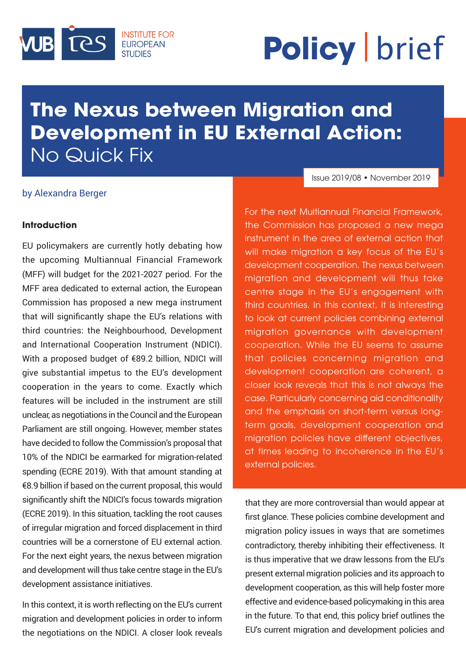

# **Policy** brief

# æ **Development in EU External Action: The Nexus between Migration and**  No Quick Fix

# Issue 2019/08 • November 2019

## by Alexandra Berger

## **Introduction**

EU policymakers are currently hotly debating how the upcoming Multiannual Financial Framework (MFF) will budget for the 2021-2027 period. For the MFF area dedicated to external action, the European Commission has proposed a new mega instrument that will significantly shape the EU's relations with third countries: the Neighbourhood, Development and International Cooperation Instrument (NDICI). With a proposed budget of €89.2 billion, NDICI will give substantial impetus to the EU's development cooperation in the years to come. Exactly which features will be included in the instrument are still unclear, as negotiations in the Council and the European Parliament are still ongoing. However, member states have decided to follow the Commission's proposal that 10% of the NDICI be earmarked for migration-related spending (ECRE 2019). With that amount standing at €8.9 billion if based on the current proposal, this would significantly shift the NDICI's focus towards migration (ECRE 2019). In this situation, tackling the root causes of irregular migration and forced displacement in third countries will be a cornerstone of EU external action. For the next eight years, the nexus between migration and development will thus take centre stage in the EU's development assistance initiatives.

In this context, it is worth reflecting on the EU's current migration and development policies in order to inform the negotiations on the NDICI. A closer look reveals

For the next Multiannual Financial Framework, the Commission has proposed a new mega instrument in the area of external action that will make migration a key focus of the EU's development cooperation. The nexus between migration and development will thus take centre stage in the EU's engagement with third countries. In this context, it is interesting to look at current policies combining external migration governance with development cooperation. While the EU seems to assume that policies concerning migration and development cooperation are coherent, a closer look reveals that this is not always the case. Particularly concerning aid conditionality and the emphasis on short-term versus longterm goals, development cooperation and migration policies have different objectives, at times leading to incoherence in the EU's external policies.

that they are more controversial than would appear at first glance. These policies combine development and migration policy issues in ways that are sometimes contradictory, thereby inhibiting their effectiveness. It is thus imperative that we draw lessons from the EU's present external migration policies and its approach to development cooperation, as this will help foster more effective and evidence-based policymaking in this area in the future. To that end, this policy brief outlines the EU's current migration and development policies and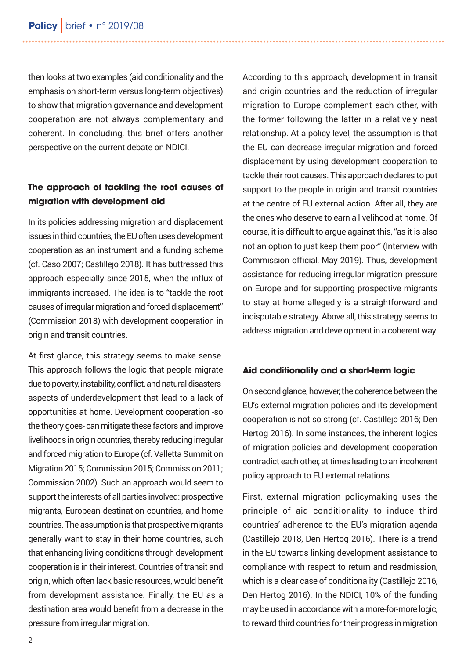then looks at two examples (aid conditionality and the emphasis on short-term versus long-term objectives) to show that migration governance and development cooperation are not always complementary and coherent. In concluding, this brief offers another perspective on the current debate on NDICI.

# **The approach of tackling the root causes of migration with development aid**

In its policies addressing migration and displacement issues in third countries, the EU often uses development cooperation as an instrument and a funding scheme (cf. Caso 2007; Castillejo 2018). It has buttressed this approach especially since 2015, when the influx of immigrants increased. The idea is to "tackle the root causes of irregular migration and forced displacement" (Commission 2018) with development cooperation in origin and transit countries.

At first glance, this strategy seems to make sense. This approach follows the logic that people migrate due to poverty, instability, conflict, and natural disastersaspects of underdevelopment that lead to a lack of opportunities at home. Development cooperation -so the theory goes- can mitigate these factors and improve livelihoods in origin countries, thereby reducing irregular and forced migration to Europe (cf. Valletta Summit on Migration 2015; Commission 2015; Commission 2011; Commission 2002). Such an approach would seem to support the interests of all parties involved: prospective migrants, European destination countries, and home countries. The assumption is that prospective migrants generally want to stay in their home countries, such that enhancing living conditions through development cooperation is in their interest. Countries of transit and origin, which often lack basic resources, would benefit from development assistance. Finally, the EU as a destination area would benefit from a decrease in the pressure from irregular migration.

According to this approach, development in transit and origin countries and the reduction of irregular migration to Europe complement each other, with the former following the latter in a relatively neat relationship. At a policy level, the assumption is that the EU can decrease irregular migration and forced displacement by using development cooperation to tackle their root causes. This approach declares to put support to the people in origin and transit countries at the centre of EU external action. After all, they are the ones who deserve to earn a livelihood at home. Of course, it is difficult to argue against this, "as it is also not an option to just keep them poor" (Interview with Commission official, May 2019). Thus, development assistance for reducing irregular migration pressure on Europe and for supporting prospective migrants to stay at home allegedly is a straightforward and indisputable strategy. Above all, this strategy seems to address migration and development in a coherent way.

#### **Aid conditionality and a short-term logic**

On second glance, however, the coherence between the EU's external migration policies and its development cooperation is not so strong (cf. Castillejo 2016; Den Hertog 2016). In some instances, the inherent logics of migration policies and development cooperation contradict each other, at times leading to an incoherent policy approach to EU external relations.

First, external migration policymaking uses the principle of aid conditionality to induce third countries' adherence to the EU's migration agenda (Castillejo 2018, Den Hertog 2016). There is a trend in the EU towards linking development assistance to compliance with respect to return and readmission, which is a clear case of conditionality (Castillejo 2016, Den Hertog 2016). In the NDICI, 10% of the funding may be used in accordance with a more-for-more logic, to reward third countries for their progress in migration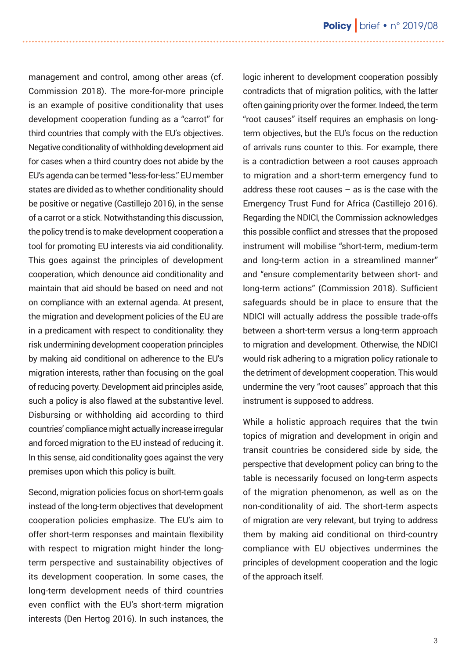management and control, among other areas (cf. Commission 2018). The more-for-more principle is an example of positive conditionality that uses development cooperation funding as a "carrot" for third countries that comply with the EU's objectives. Negative conditionality of withholding development aid for cases when a third country does not abide by the EU's agenda can be termed "less-for-less." EU member states are divided as to whether conditionality should be positive or negative (Castillejo 2016), in the sense of a carrot or a stick. Notwithstanding this discussion, the policy trend is to make development cooperation a tool for promoting EU interests via aid conditionality. This goes against the principles of development cooperation, which denounce aid conditionality and maintain that aid should be based on need and not on compliance with an external agenda. At present, the migration and development policies of the EU are in a predicament with respect to conditionality: they risk undermining development cooperation principles by making aid conditional on adherence to the EU's migration interests, rather than focusing on the goal of reducing poverty. Development aid principles aside, such a policy is also flawed at the substantive level. Disbursing or withholding aid according to third countries' compliance might actually increase irregular and forced migration to the EU instead of reducing it. In this sense, aid conditionality goes against the very premises upon which this policy is built.

Second, migration policies focus on short-term goals instead of the long-term objectives that development cooperation policies emphasize. The EU's aim to offer short-term responses and maintain flexibility with respect to migration might hinder the longterm perspective and sustainability objectives of its development cooperation. In some cases, the long-term development needs of third countries even conflict with the EU's short-term migration interests (Den Hertog 2016). In such instances, the logic inherent to development cooperation possibly contradicts that of migration politics, with the latter often gaining priority over the former. Indeed, the term "root causes" itself requires an emphasis on longterm objectives, but the EU's focus on the reduction of arrivals runs counter to this. For example, there is a contradiction between a root causes approach to migration and a short-term emergency fund to address these root causes – as is the case with the Emergency Trust Fund for Africa (Castillejo 2016). Regarding the NDICI, the Commission acknowledges this possible conflict and stresses that the proposed instrument will mobilise "short-term, medium-term and long-term action in a streamlined manner" and "ensure complementarity between short- and long-term actions" (Commission 2018). Sufficient safeguards should be in place to ensure that the NDICI will actually address the possible trade-offs between a short-term versus a long-term approach to migration and development. Otherwise, the NDICI would risk adhering to a migration policy rationale to the detriment of development cooperation. This would undermine the very "root causes" approach that this instrument is supposed to address.

While a holistic approach requires that the twin topics of migration and development in origin and transit countries be considered side by side, the perspective that development policy can bring to the table is necessarily focused on long-term aspects of the migration phenomenon, as well as on the non-conditionality of aid. The short-term aspects of migration are very relevant, but trying to address them by making aid conditional on third-country compliance with EU objectives undermines the principles of development cooperation and the logic of the approach itself.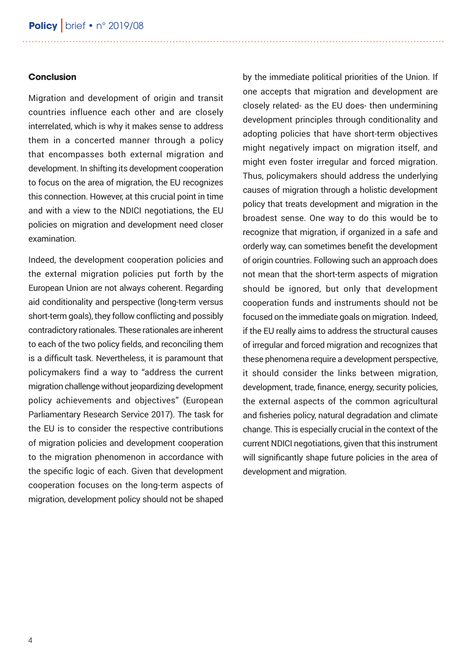#### **Conclusion**

Migration and development of origin and transit countries influence each other and are closely interrelated, which is why it makes sense to address them in a concerted manner through a policy that encompasses both external migration and development. In shifting its development cooperation to focus on the area of migration, the EU recognizes this connection. However, at this crucial point in time and with a view to the NDICI negotiations, the EU policies on migration and development need closer examination.

Indeed, the development cooperation policies and the external migration policies put forth by the European Union are not always coherent. Regarding aid conditionality and perspective (long-term versus short-term goals), they follow conflicting and possibly contradictory rationales. These rationales are inherent to each of the two policy fields, and reconciling them is a difficult task. Nevertheless, it is paramount that policymakers find a way to "address the current migration challenge without jeopardizing development policy achievements and objectives" (European Parliamentary Research Service 2017). The task for the EU is to consider the respective contributions of migration policies and development cooperation to the migration phenomenon in accordance with the specific logic of each. Given that development cooperation focuses on the long-term aspects of migration, development policy should not be shaped by the immediate political priorities of the Union. If one accepts that migration and development are closely related- as the EU does- then undermining development principles through conditionality and adopting policies that have short-term objectives might negatively impact on migration itself, and might even foster irregular and forced migration. Thus, policymakers should address the underlying causes of migration through a holistic development policy that treats development and migration in the broadest sense. One way to do this would be to recognize that migration, if organized in a safe and orderly way, can sometimes benefit the development of origin countries. Following such an approach does not mean that the short-term aspects of migration should be ignored, but only that development cooperation funds and instruments should not be focused on the immediate goals on migration. Indeed, if the EU really aims to address the structural causes of irregular and forced migration and recognizes that these phenomena require a development perspective, it should consider the links between migration, development, trade, finance, energy, security policies, the external aspects of the common agricultural and fisheries policy, natural degradation and climate change. This is especially crucial in the context of the current NDICI negotiations, given that this instrument will significantly shape future policies in the area of development and migration.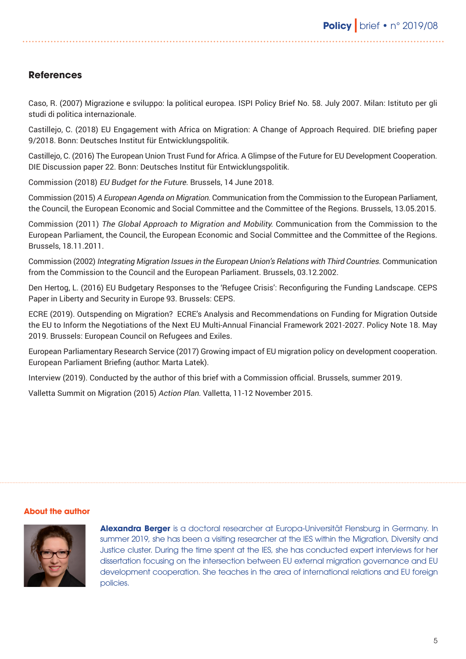# **References**

Caso, R. (2007) Migrazione e sviluppo: la political europea. ISPI Policy Brief No. 58. July 2007. Milan: Istituto per gli studi di politica internazionale.

Castillejo, C. (2018) EU Engagement with Africa on Migration: A Change of Approach Required. DIE briefing paper 9/2018. Bonn: Deutsches Institut für Entwicklungspolitik.

Castillejo, C. (2016) The European Union Trust Fund for Africa. A Glimpse of the Future for EU Development Cooperation. DIE Discussion paper 22. Bonn: Deutsches Institut für Entwicklungspolitik.

Commission (2018) EU Budget for the Future. Brussels, 14 June 2018.

Commission (2015) A European Agenda on Migration. Communication from the Commission to the European Parliament, the Council, the European Economic and Social Committee and the Committee of the Regions. Brussels, 13.05.2015.

Commission (2011) The Global Approach to Migration and Mobility. Communication from the Commission to the European Parliament, the Council, the European Economic and Social Committee and the Committee of the Regions. Brussels, 18.11.2011.

Commission (2002) Integrating Migration Issues in the European Union's Relations with Third Countries. Communication from the Commission to the Council and the European Parliament. Brussels, 03.12.2002.

Den Hertog, L. (2016) EU Budgetary Responses to the 'Refugee Crisis': Reconfiguring the Funding Landscape. CEPS Paper in Liberty and Security in Europe 93. Brussels: CEPS.

ECRE (2019). Outspending on Migration? ECRE's Analysis and Recommendations on Funding for Migration Outside the EU to Inform the Negotiations of the Next EU Multi-Annual Financial Framework 2021-2027. Policy Note 18. May 2019. Brussels: European Council on Refugees and Exiles.

European Parliamentary Research Service (2017) Growing impact of EU migration policy on development cooperation. European Parliament Briefing (author: Marta Latek).

Interview (2019). Conducted by the author of this brief with a Commission official. Brussels, summer 2019.

Valletta Summit on Migration (2015) Action Plan. Valletta, 11-12 November 2015.

#### **About the author**



**Alexandra Berger** is a doctoral researcher at Europa-Universität Flensburg in Germany. In summer 2019, she has been a visiting researcher at the IES within the Migration, Diversity and Justice cluster. During the time spent at the IES, she has conducted expert interviews for her dissertation focusing on the intersection between EU external migration governance and EU development cooperation. She teaches in the area of international relations and EU foreign policies.